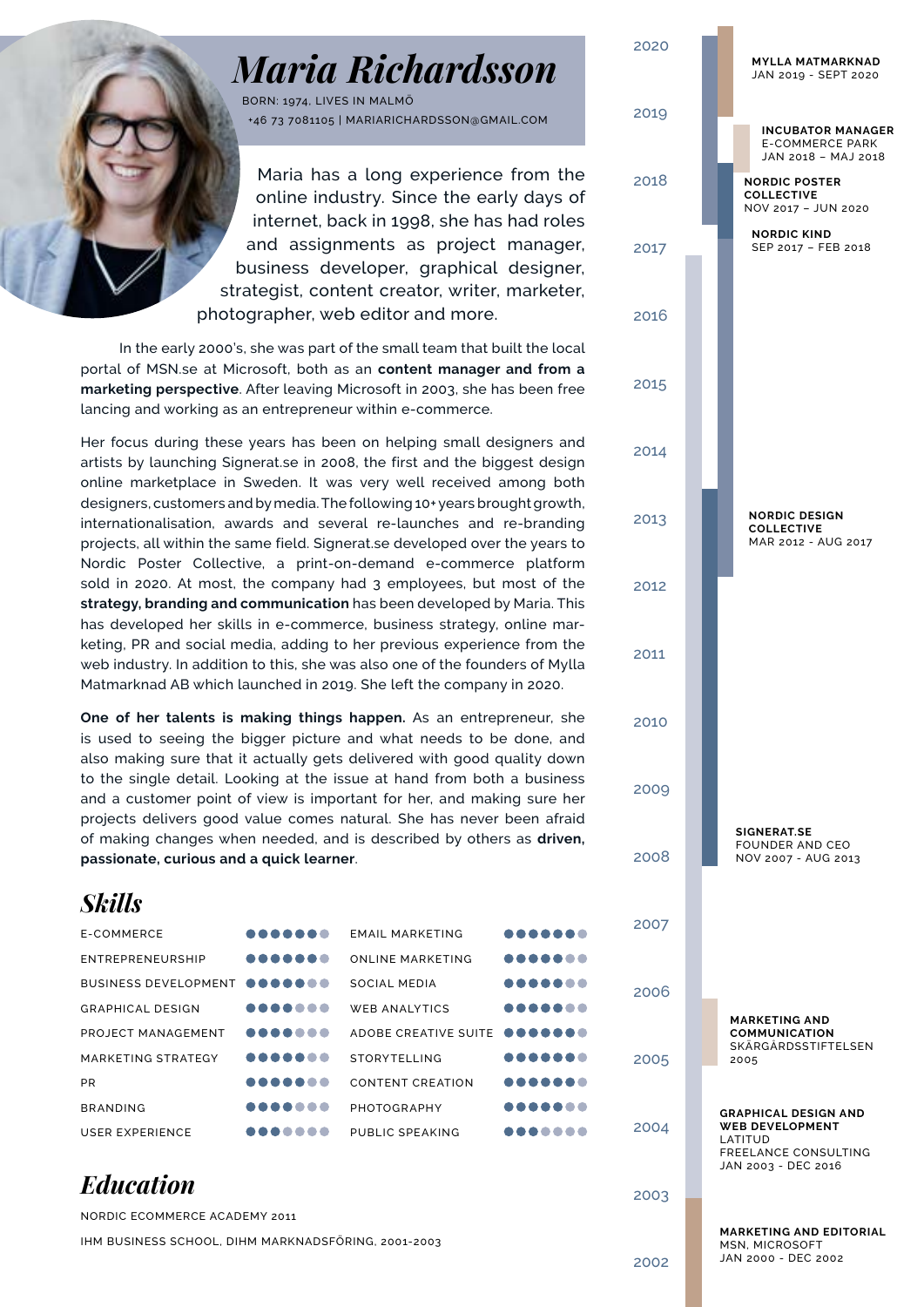# *Maria Richardsson*

BORN: 1974, LIVES IN MALMÖ +46 73 7081105 | MARIARICHARDSSON@GMAIL.COM

Maria has a long experience from the online industry. Since the early days of internet, back in 1998, she has had roles and assignments as project manager, business developer, graphical designer, strategist, content creator, writer, marketer, photographer, web editor and more.

In the early 2000's, she was part of the small team that built the local portal of MSN.se at Microsoft, both as an **content manager and from a marketing perspective**. After leaving Microsoft in 2003, she has been free lancing and working as an entrepreneur within e-commerce.

Her focus during these years has been on helping small designers and artists by launching Signerat.se in 2008, the first and the biggest design online marketplace in Sweden. It was very well received among both designers, customers and by media. The following 10+ years brought growth, internationalisation, awards and several re-launches and re-branding projects, all within the same field. Signerat.se developed over the years to Nordic Poster Collective, a print-on-demand e-commerce platform sold in 2020. At most, the company had 3 employees, but most of the **strategy, branding and communication** has been developed by Maria. This has developed her skills in e-commerce, business strategy, online marketing, PR and social media, adding to her previous experience from the web industry. In addition to this, she was also one of the founders of Mylla Matmarknad AB which launched in 2019. She left the company in 2020.

**One of her talents is making things happen.** As an entrepreneur, she is used to seeing the bigger picture and what needs to be done, and also making sure that it actually gets delivered with good quality down to the single detail. Looking at the issue at hand from both a business and a customer point of view is important for her, and making sure her projects delivers good value comes natural. She has never been afraid of making changes when needed, and is described by others as **driven, passionate, curious and a quick learner**.

| <b>Skills</b>               |                     |                              |        |
|-----------------------------|---------------------|------------------------------|--------|
| E-COMMERCE                  |                     | <b>EMAIL MARKETING</b>       | <br>2( |
| ENTREPRENEURSHIP            |                     | <b>ONLINE MARKETING</b>      |        |
| <b>BUSINESS DEVELOPMENT</b> |                     | SOCIAL MEDIA                 | <br>2( |
| <b>GRAPHICAL DESIGN</b>     |                     | <b>WEB ANALYTICS</b>         |        |
| PROJECT MANAGEMENT          |                     | ADOBE CREATIVE SUITE OOOOOOO |        |
| MARKETING STRATEGY          |                     | <b>STORYTELLING</b>          | <br>2( |
| <b>PR</b>                   |                     | <b>CONTENT CREATION</b>      |        |
| <b>BRANDING</b>             |                     | PHOTOGRAPHY                  |        |
| <b>USER EXPERIENCE</b>      | $\bullet$ $\bullet$ | PUBLIC SPEAKING              | <br>2( |

### *Education*

NORDIC ECOMMERCE ACADEMY 2011 IHM BUSINESS SCHOOL, DIHM MARKNADSFÖRING, 2001-2003



JAN 2000 - DEC 2002